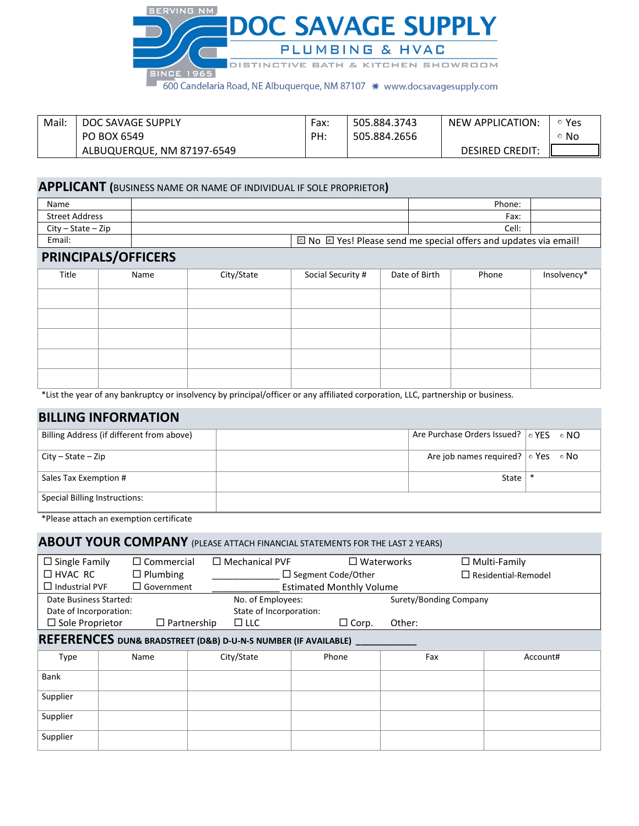

600 Candelaria Road, NE Albuquerque, NM 87107 \* www.docsavagesupply.com

| Mail. | DOC SAVAGE SUPPLY          | Fax: | 505.884.3743 | NEW APPLICATION:       | Yes |
|-------|----------------------------|------|--------------|------------------------|-----|
|       | PO BOX 6549                | PH.  | 505.884.2656 |                        | No. |
|       | ALBUQUERQUE, NM 87197-6549 |      |              | <b>DESIRED CREDIT:</b> |     |

## **APPLICANT (**BUSINESS NAME OR NAME OF INDIVIDUAL IF SOLE PROPRIETOR**)**

| Name                 | Phone:                                                           |  |  |
|----------------------|------------------------------------------------------------------|--|--|
| Street Address       | Fax:                                                             |  |  |
| $City - State - Zip$ | Cell:                                                            |  |  |
| Email:               | 2 No □ Yes! Please send me special offers and updates via email! |  |  |

### **PRINCIPALS/OFFICERS**

| Title | Name | City/State | Social Security # | Date of Birth | Phone | Insolvency* |
|-------|------|------------|-------------------|---------------|-------|-------------|
|       |      |            |                   |               |       |             |
|       |      |            |                   |               |       |             |
|       |      |            |                   |               |       |             |
|       |      |            |                   |               |       |             |
|       |      |            |                   |               |       |             |

\*List the year of any bankruptcy or insolvency by principal/officer or any affiliated corporation, LLC, partnership or business.

## **BILLING INFORMATION**

| Billing Address (if different from above) | Are Purchase Orders Issued? $\circ$ YES $\circ$ NO |       |  |
|-------------------------------------------|----------------------------------------------------|-------|--|
| $City - State - Zip$                      | Are job names required? $\circ$ Yes $\circ$ No     |       |  |
| Sales Tax Exemption #                     |                                                    | State |  |
| Special Billing Instructions:             |                                                    |       |  |

\*Please attach an exemption certificate

# **ABOUT YOUR COMPANY** (PLEASE ATTACH FINANCIAL STATEMENTS FOR THE LAST 2 YEARS)

| $\Box$ Single Family                                                          | $\Box$ Commercial  | $\Box$ Mechanical PVF |                                 | $\square$ Waterworks | $\Box$ Multi-Family        |  |  |
|-------------------------------------------------------------------------------|--------------------|-----------------------|---------------------------------|----------------------|----------------------------|--|--|
| $\Box$ HVAC RC<br>$\Box$ Plumbing                                             |                    |                       | $\Box$ Segment Code/Other       |                      | $\Box$ Residential-Remodel |  |  |
| $\Box$ Industrial PVF<br>$\Box$ Government                                    |                    |                       | <b>Estimated Monthly Volume</b> |                      |                            |  |  |
| Date Business Started:                                                        |                    |                       | No. of Employees:               |                      | Surety/Bonding Company     |  |  |
| Date of Incorporation:                                                        |                    |                       | State of Incorporation:         |                      |                            |  |  |
| $\square$ Sole Proprietor                                                     | $\Box$ Partnership | $\Box$ LLC            | $\Box$ Corp.                    | Other:               |                            |  |  |
| <b>REFERENCES DUN&amp; BRADSTREET (D&amp;B) D-U-N-S NUMBER (IF AVAILABLE)</b> |                    |                       |                                 |                      |                            |  |  |
| <b>Type</b>                                                                   | Name               | City/State            | Phone                           | Fax                  | Account#                   |  |  |
| Bank                                                                          |                    |                       |                                 |                      |                            |  |  |
| Supplier                                                                      |                    |                       |                                 |                      |                            |  |  |
| Supplier                                                                      |                    |                       |                                 |                      |                            |  |  |
| Supplier                                                                      |                    |                       |                                 |                      |                            |  |  |